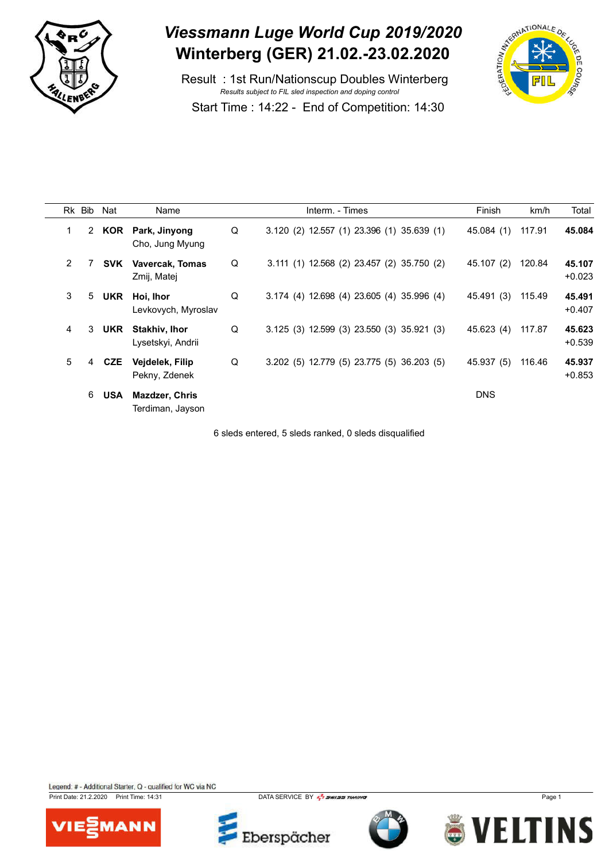

 Result : 1st Run/Nationscup Doubles Winterberg *Results subject to FIL sled inspection and doping control* Start Time : 14:22 - End of Competition: 14:30



|                | Rk Bib | Nat        | Name                                      |   | Interm. - Times                              | Finish     | km/h   | Total              |
|----------------|--------|------------|-------------------------------------------|---|----------------------------------------------|------------|--------|--------------------|
| 1              |        |            | 2 KOR Park, Jinyong<br>Cho, Jung Myung    | Q | 3.120 (2) 12.557 (1) 23.396 (1) 35.639 (1)   | 45.084 (1) | 117.91 | 45.084             |
| $\overline{2}$ |        | SVK        | <b>Vavercak, Tomas</b><br>Zmij, Matej     | Q | 3.111 (1) 12.568 (2) 23.457 (2) 35.750 (2)   | 45.107 (2) | 120.84 | 45.107<br>$+0.023$ |
| 3              | 5      | <b>UKR</b> | Hoi, Ihor<br>Levkovych, Myroslav          | Q | 3.174 (4) 12.698 (4) 23.605 (4) 35.996 (4)   | 45.491 (3) | 115.49 | 45.491<br>$+0.407$ |
| 4              | 3      | <b>UKR</b> | <b>Stakhiv, Ihor</b><br>Lysetskyi, Andrii | Q | $3.125$ (3) 12.599 (3) 23.550 (3) 35.921 (3) | 45.623 (4) | 117.87 | 45.623<br>$+0.539$ |
| 5              | 4      | CZE        | Vejdelek, Filip<br>Pekny, Zdenek          | Q | 3.202 (5) 12.779 (5) 23.775 (5) 36.203 (5)   | 45.937 (5) | 116.46 | 45.937<br>$+0.853$ |
|                | 6      | <b>USA</b> | <b>Mazdzer, Chris</b><br>Terdiman, Jayson |   |                                              | <b>DNS</b> |        |                    |

6 sleds entered, 5 sleds ranked, 0 sleds disqualified

Legend: # - Additional Starter, Q - qualified for WC via NC

Print Date: 21.2.2020 Print Time: 14:31 DATA SERVICE BY **Page 1** DATA SERVICE BY **Page 1** Page 1







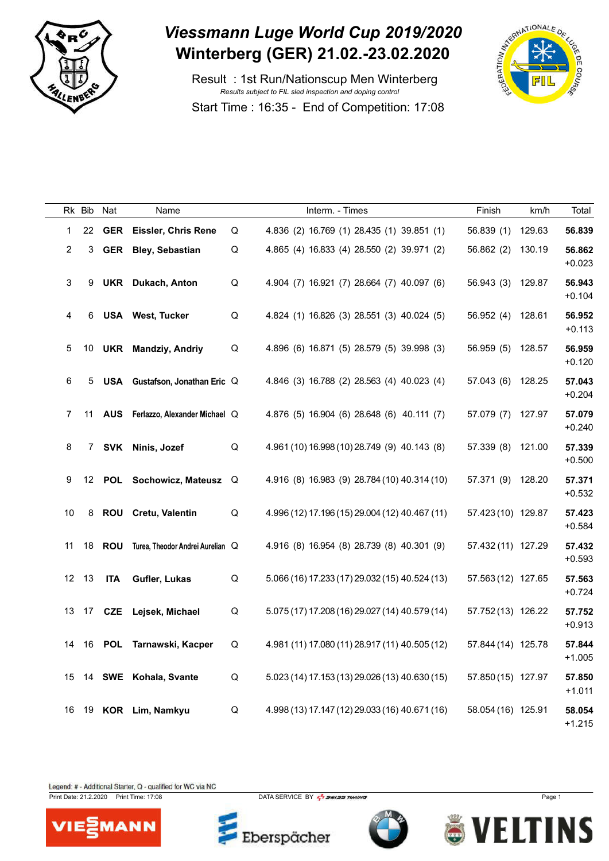

 Result : 1st Run/Nationscup Men Winterberg *Results subject to FIL sled inspection and doping control* Start Time : 16:35 - End of Competition: 17:08



|                | Rk Bib | Nat        | Name                             |   | Interm. - Times                                | Finish             | km/h   | Total              |
|----------------|--------|------------|----------------------------------|---|------------------------------------------------|--------------------|--------|--------------------|
| 1              | 22     | <b>GER</b> | <b>Eissler, Chris Rene</b>       | Q | 4.836 (2) 16.769 (1) 28.435 (1) 39.851 (1)     | 56.839 (1)         | 129.63 | 56.839             |
| $\overline{2}$ | 3      | <b>GER</b> | <b>Bley, Sebastian</b>           | Q | 4.865 (4) 16.833 (4) 28.550 (2) 39.971 (2)     | 56.862 (2)         | 130.19 | 56.862<br>$+0.023$ |
| 3              | 9      |            | <b>UKR</b> Dukach, Anton         | Q | 4.904 (7) 16.921 (7) 28.664 (7) 40.097 (6)     | 56.943 (3)         | 129.87 | 56.943<br>$+0.104$ |
| 4              | 6      |            | <b>USA</b> West, Tucker          | Q | 4.824 (1) 16.826 (3) 28.551 (3) 40.024 (5)     | 56.952 (4)         | 128.61 | 56.952<br>$+0.113$ |
| 5              | 10     | <b>UKR</b> | <b>Mandziy, Andriy</b>           | Q | 4.896 (6) 16.871 (5) 28.579 (5) 39.998 (3)     | 56.959 (5)         | 128.57 | 56.959<br>$+0.120$ |
| 6              | 5      |            | USA Gustafson, Jonathan Eric Q   |   | 4.846 (3) 16.788 (2) 28.563 (4) 40.023 (4)     | 57.043(6)          | 128.25 | 57.043<br>$+0.204$ |
| $\overline{7}$ | 11     | <b>AUS</b> | Ferlazzo, Alexander Michael Q    |   | 4.876 (5) 16.904 (6) 28.648 (6) 40.111 (7)     | 57.079 (7)         | 127.97 | 57.079<br>$+0.240$ |
| 8              | 7      | SVK        | Ninis, Jozef                     | Q | 4.961 (10) 16.998 (10) 28.749 (9) 40.143 (8)   | 57.339 (8)         | 121.00 | 57.339<br>$+0.500$ |
| 9              | 12     |            | POL Sochowicz, Mateusz           | Q | 4.916 (8) 16.983 (9) 28.784 (10) 40.314 (10)   | 57.371 (9)         | 128.20 | 57.371<br>$+0.532$ |
| 10             | 8      |            | ROU Cretu, Valentin              | Q | 4.996 (12) 17.196 (15) 29.004 (12) 40.467 (11) | 57.423 (10) 129.87 |        | 57.423<br>$+0.584$ |
| 11             | 18     | <b>ROU</b> | Turea, Theodor Andrei Aurelian Q |   | 4.916 (8) 16.954 (8) 28.739 (8) 40.301 (9)     | 57.432 (11) 127.29 |        | 57.432<br>$+0.593$ |
|                | 12 13  | <b>ITA</b> | Gufler, Lukas                    | Q | 5.066 (16) 17.233 (17) 29.032 (15) 40.524 (13) | 57.563 (12) 127.65 |        | 57.563<br>$+0.724$ |
| 13             | 17     | CZE        | Lejsek, Michael                  | Q | 5.075 (17) 17.208 (16) 29.027 (14) 40.579 (14) | 57.752 (13) 126.22 |        | 57.752<br>$+0.913$ |
| 14             | 16     | POL        | Tarnawski, Kacper                | Q | 4.981 (11) 17.080 (11) 28.917 (11) 40.505 (12) | 57.844 (14) 125.78 |        | 57.844<br>$+1.005$ |
| 15             | 14     |            | SWE Kohala, Svante               | Q | 5.023 (14) 17.153 (13) 29.026 (13) 40.630 (15) | 57.850 (15) 127.97 |        | 57.850<br>$+1.011$ |
| 16             | 19     |            | KOR Lim, Namkyu                  | Q | 4.998 (13) 17.147 (12) 29.033 (16) 40.671 (16) | 58.054 (16) 125.91 |        | 58.054<br>$+1.215$ |

Legend: # - Additional Starter, Q - qualified for WC via NC



Print Date: 21.2.2020 Print Time: 17:08 DATA SERVICE BY  $\frac{7}{2}$  SWISS TIMING

Eberspächer



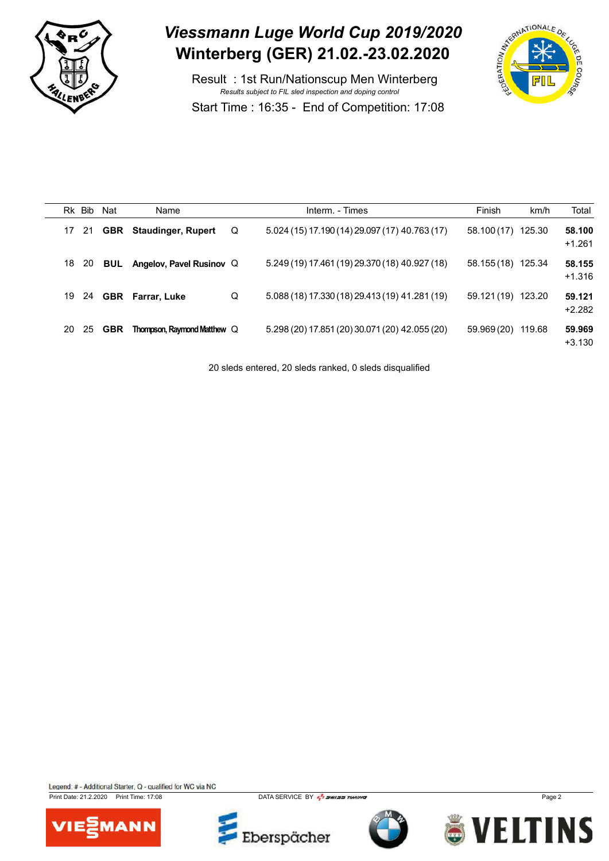

 Result : 1st Run/Nationscup Men Winterberg *Results subject to FIL sled inspection and doping control* Start Time : 16:35 - End of Competition: 17:08



|    | Rk Bib | Nat        | Name                               |   | Interm. - Times                                | Finish      | km/h   | Total              |
|----|--------|------------|------------------------------------|---|------------------------------------------------|-------------|--------|--------------------|
| 17 | -21    |            | <b>GBR</b> Staudinger, Rupert      | Q | $5.024(15)17.190(14)29.097(17)40.763(17)$      | 58.100 (17) | 125.30 | 58.100<br>$+1.261$ |
| 18 | -20    | BUL        | Angelov, Pavel Rusinov Q           |   | 5.249 (19) 17.461 (19) 29.370 (18) 40.927 (18) | 58.155 (18) | 125.34 | 58.155<br>$+1.316$ |
| 19 | 24     |            | <b>GBR</b> Farrar, Luke            | Q | 5.088 (18) 17.330 (18) 29.413 (19) 41.281 (19) | 59.121 (19) | 123.20 | 59.121<br>$+2.282$ |
| 20 | 25     | <b>GBR</b> | <b>Thompson, Raymond Matthew Q</b> |   | 5.298 (20) 17.851 (20) 30.071 (20) 42.055 (20) | 59.969 (20) | 119.68 | 59.969<br>$+3.130$ |

20 sleds entered, 20 sleds ranked, 0 sleds disqualified